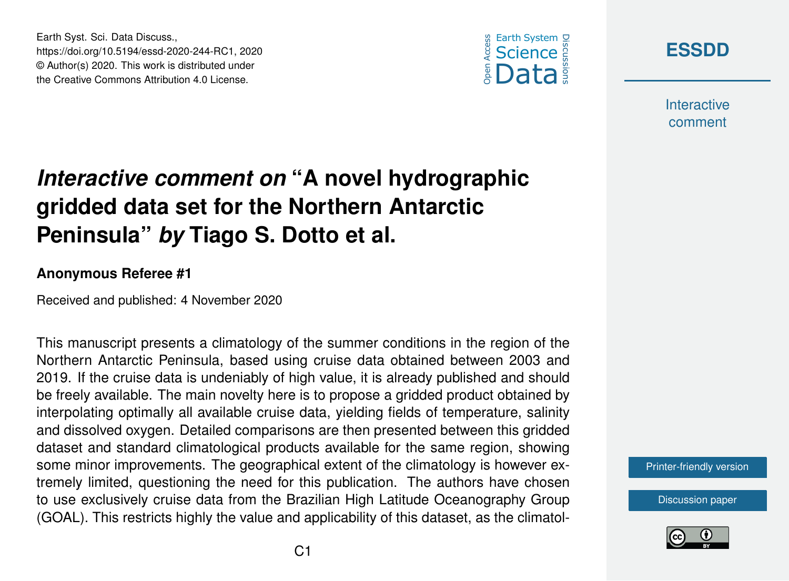





**Interactive** comment

## *Interactive comment on* **"A novel hydrographic gridded data set for the Northern Antarctic Peninsula"** *by* **Tiago S. Dotto et al.**

## **Anonymous Referee #1**

Received and published: 4 November 2020

This manuscript presents a climatology of the summer conditions in the region of the Northern Antarctic Peninsula, based using cruise data obtained between 2003 and 2019. If the cruise data is undeniably of high value, it is already published and should be freely available. The main novelty here is to propose a gridded product obtained by interpolating optimally all available cruise data, yielding fields of temperature, salinity and dissolved oxygen. Detailed comparisons are then presented between this gridded dataset and standard climatological products available for the same region, showing some minor improvements. The geographical extent of the climatology is however extremely limited, questioning the need for this publication. The authors have chosen to use exclusively cruise data from the Brazilian High Latitude Oceanography Group (GOAL). This restricts highly the value and applicability of this dataset, as the climatol-

[Printer-friendly version](https://essd.copernicus.org/preprints/essd-2020-244/essd-2020-244-RC1-print.pdf)

[Discussion paper](https://essd.copernicus.org/preprints/essd-2020-244)